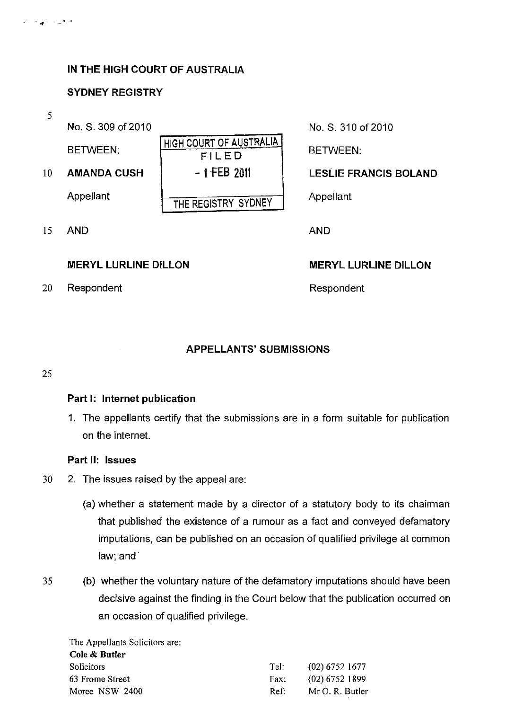### IN THE HIGH COURT OF AUSTRALIA

#### SYDNEY REGISTRY

#### 5

No. S, 309 of 2010 No. S, 310 of 2010

| <b>BETWEEN:</b>    | HIGH COURT OF AUSTRALIA<br>FILED | BETWEEN:          |
|--------------------|----------------------------------|-------------------|
| <b>AMANDA CUSH</b> | $-1$ FEB 2011                    | <b>LESLIE FRA</b> |
| Appellant          | THE REGISTRY SYDNEY              | Appellant         |
|                    |                                  |                   |

15 AND AND

### MERYL LURLlNE DILLON MERYL LURLlNE DILLON

20 Respondent Respondent

# 10 AMANDA CUSH  $\vert$  - 1 FEB 2011  $\vert$  LESLIE FRANCIS BOLAND

### APPELLANTS' SUBMISSIONS

#### 25

#### Part I: Internet publication

1. The appellants certify that the submissions are in a form suitable for publication on the internet.

#### Part 11: Issues

- 30 2. The issues raised by the appeal are:
	- (a) whether a statement made by a director of a statutory body to its chairman that published the existence of a rumour as a fact and conveyed defamatory imputations, can be published on an occasion of qualified privilege at common law; and'
- 35 (b) whether the voluntary nature of the defamatory imputations should have been decisive against the finding in the Court below that the publication occurred on an occasion of qualified privilege.

The Appellants Solicitors are: Cole & Butler Solicitors 63 Frome Street Moree NSW 2400 Tel: Fax: Ref: (02) 6752 1677 (02) 6752 1899 Mr O. R. Butler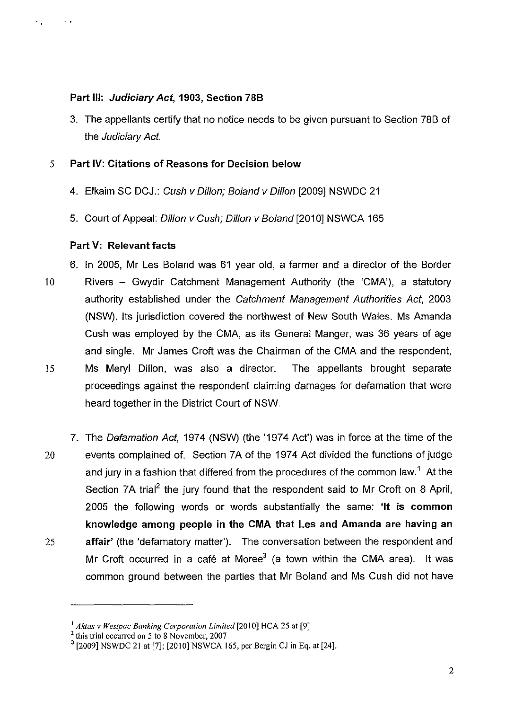# **Part Ill: Judiciary Act, 1903, Section 78B**

3. The appellants certify that no notice needs to be given pursuant to Section 78B of the Judiciary Act.

# 5 **Part IV: Citations of Reasons for Decision below**

- 4. Elkaim SC DCJ.: Cush v Dillon; Boland v Dillon [2009] NSWDC 21
- 5. Court of Appeal: Dillon v Cush; Dillon v Boland [2010] NSWCA 165

# **Part V: Relevant facts**

, ,

6. **In** 2005, Mr Les Boland was 61 year old, a farmer and a director of the Border

- 10 Rivers Gwydir Catchment Management Authority (the 'CMA'), a statutory authority established under the Catchment Management Authorities Act, 2003 (NSW). Its jurisdiction covered the northwest of New South Wales. Ms Amanda Cush was employed by the CMA, as its General Manger, was 36 years of age and single. Mr James Croft was the Chairman of the CMA and the respondent, 15 Ms Meryl Dillon, was also a director. The appellants brought separate proceedings against the respondent claiming damages for defamation that were heard together in the District Court of NSW.
- 7. The Defamation Act, 1974 (NSW) (the '1974 Act') was in force at the time of the 20 events complained of. Section 7A of the 1974 Act divided the functions of judge and jury in a fashion that differed from the procedures of the common law.<sup>1</sup> At the Section 7A trial<sup>2</sup> the jury found that the respondent said to Mr Croft on 8 April, 2005 the following words or words substantially the same: **'It is common knowledge among people in the CMA that Les and Amanda are having an**  25 **affair'** (the 'defamatory matter'). The conversation between the respondent and Mr Croft occurred in a café at Moree<sup>3</sup> (a town within the CMA area). It was common ground between the parties that Mr Boland and Ms Cush did not have

<sup>&</sup>lt;sup>1</sup> Aktas *v Westpac Banking Corporation Limited* [2010] HCA 25 at [9]

<sup>2</sup> this trial occurred on 5 to 8 November, 2007

<sup>3 [2009]</sup> NSWDC 21 at [7]; [2010] NSWCA 165, per Bergin CJ in Eq. at [24].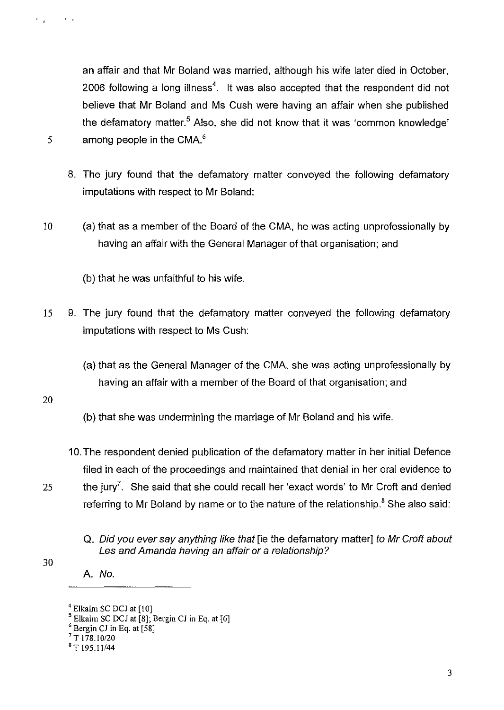an affair and that Mr Boland was married, although his wife later died in October, 2006 following a long illness<sup>4</sup>. It was also accepted that the respondent did not believe that Mr Boland and Ms Cush were having an affair when she published the defamatory matter.<sup>5</sup> Also, she did not know that it was 'common knowledge'

5 among people in the CMA. $<sup>6</sup>$ </sup>

 $\sim$   $\epsilon$ 

- 8. The jury found that the defamatory matter conveyed the following defamatory imputations with respect to Mr Boland:
- 10 (a) that as a member of the Board of the CMA, he was acting unprofessionally by having an affair with the General Manager of that organisation; and

(b) that he was unfaithful to his wife.

- 15 9. The jury found that the defamatory matter conveyed the following defamatory imputations with respect to Ms Cush:
	- (a) that as the General Manager of the CMA, she was acting unprofessionally by having an affair with a member of the Board of that organisation; and

20

30

- (b) that she was undermining the marriage of Mr Boland and his wife.
- 10. The respondent denied publication of the defamatory matter in her initial Defence filed in each of the proceedings and maintained that denial in her oral evidence to 25 the jury. She said that she could recall her 'exact words' to Mr Croft and denied referring to Mr Boland by name or to the nature of the relationship.<sup>8</sup> She also said:
	- Q. Did you ever say anything like that [ie the defamatory matter] to Mr Croft about Les and Amanda having an affair or a relationship?

A. No.

 $<sup>4</sup>$  Elkaim SC DCJ at  $[10]$ </sup>

 $5$  Elkaim SC DCJ at [8]; Bergin CJ in Eq. at [6]

<sup>&</sup>lt;sup>6</sup> Bergin CJ in Eq. at [58]

 $7$  T 178.10/20

<sup>&#</sup>x27;T 195.11/44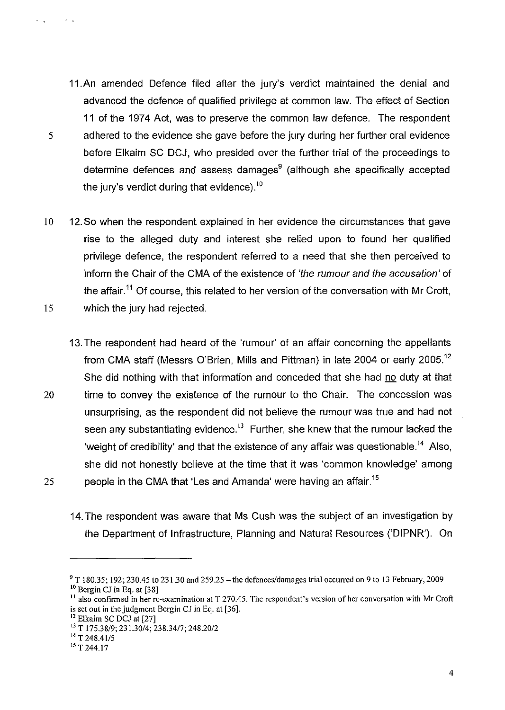- 11.An amended Defence filed after the jury's verdict maintained the denial and advanced the defence of qualified privilege at common law. The effect of Section 11 of the 1974 Act, was to preserve the common law defence. The respondent 5 adhered to the evidence she gave before the jury during her further oral evidence before Elkaim SC DCJ, who presided over the further trial of the proceedings to determine defences and assess damages $9$  (although she specifically accepted the jury's verdict during that evidence). $10$
- 10 12. So when the respondent explained in her evidence the circumstances that gave rise to the alleged duty and interest she relied upon to found her qualified privilege defence, the respondent referred to a need that she then perceived to inform the Chair of the CMA of the existence of 'the rumour and the accusation' of the affair.<sup>11</sup> Of course, this related to her version of the conversation with Mr Croft, 15 which the jury had rejected,
- 13, The respondent had heard of the 'rumour' of an affair concerning the appellants from CMA staff (Messrs O'Brien, Mills and Pittman) in late 2004 or early 2005.<sup>12</sup> She did nothing with that information and conceded that she had no duty at that 20 time to convey the existence of the rumour to the Chair. The concession was unsurprising, as the respondent did not believe the rumour was true and had not seen any substantiating evidence.<sup>13</sup> Further, she knew that the rumour lacked the 'weight of credibility' and that the existence of any affair was questionable.<sup>14</sup> Also, she did not honestly believe at the time that it was 'common knowledge' among 25 people in the CMA that 'Les and Amanda' were having an affair.<sup>15</sup>
	- 14. The respondent was aware that Ms Cush was the subject of an investigation by the Department of Infrastructure, Planning and Natural Resources ('DIPNR'). On

 $\sim$ 

 $\mathcal{F}$ 

 $9$  T 180.35; 192; 230.45 to 231.30 and 259.25 – the defences/damages trial occurred on 9 to 13 February, 2009 <sup>10</sup> Bergin CJ in Eq. at [38]

<sup>&</sup>lt;sup>11</sup> also confirmed in her re-examination at T 270.45. The respondent's version of her conversation with Mr Croft is set out in the judgment Bergin *Cl* in Eq, at [36].

<sup>12</sup> Elkaim SC *DCI* at [27]

<sup>&</sup>lt;sup>13</sup> T 175.38/9; 231.30/4; 238.34/7; 248.20/2

 $14$  T 248.41/5

<sup>&</sup>lt;sup>15</sup> T 244.17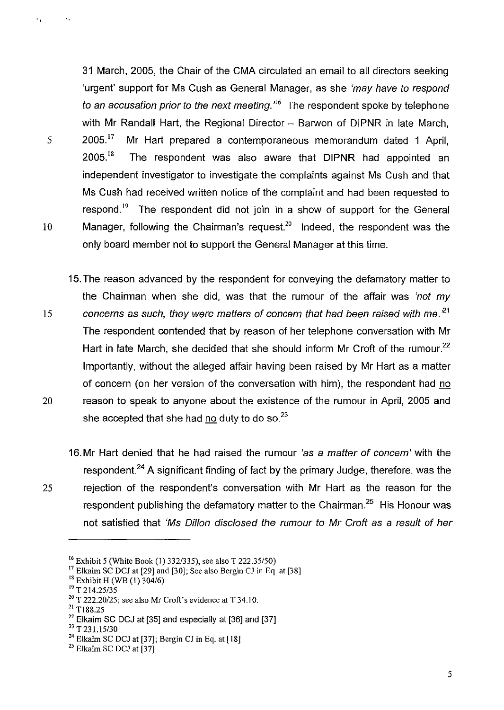31 March, 2005, the Chair of the CMA circulated an email to all directors seeking 'urgent' support for Ms Cush as General Manager, as she 'may have to respond to an accusation prior to the next meeting.<sup> $16$ </sup> The respondent spoke by telephone with Mr Randall Hart, the Regional Director  $-$  Barwon of DIPNR in late March,  $5$  2005.<sup>17</sup> Mr Hart prepared a contemporaneous memorandum dated 1 April,  $2005$ <sup>18</sup> The respondent was also aware that DIPNR had appointed an independent investigator to investigate the complaints against Ms Cush and that Ms Cush had received written notice of the complaint and had been requested to respond.<sup>19</sup> The respondent did not join in a show of support for the General 10 Manager, following the Chairman's request.<sup>20</sup> Indeed, the respondent was the only board member not to support the General Manager at this time.

15. The reason advanced by the respondent for conveying the defamatory matter to the Chairman when she did, was that the rumour of the affair was 'not my 15 **concerns as such, they were matters of concern that had been raised with me.**<sup>21</sup> The respondent contended that by reason of her telephone conversation with Mr Hart in late March, she decided that she should inform Mr Croft of the rumour.<sup>22</sup> Importantly, without the alleged affair having been raised by Mr Hart as a matter of concern (on her version of the conversation with him), the respondent had no 20 reason to speak to anyone about the existence of the rumour in April, 2005 and she accepted that she had no duty to do so. $^{23}$ 

16. Mr Hart denied that he had raised the rumour 'as a matter of concern' with the respondent.<sup>24</sup> A significant finding of fact by the primary Judge, therefore, was the 25 rejection of the respondent's conversation with Mr Hart as the reason for the respondent publishing the defamatory matter to the Chairman.<sup>25</sup> His Honour was not satisfied that 'Ms Oil/on disclosed the rumour to Mr Croft as a result of her

19 T *214.25/35* 

 $\mathbf{r}_{\rm{in}}$ 

21 T188.25

23 T 23 *1.15/30* 

<sup>16</sup> Exhibit 5 (White Book (1) *332/335),* see also T *222.35150)* 

 $17$  Elkaim SC DCJ at [29] and [30]; See also Bergin CJ in Eq. at [38]

<sup>18</sup> Exhibit H (WB (I) *304/6)* 

<sup>&</sup>lt;sup>20</sup> T 222.20/25; see also Mr Croft's evidence at T 34.10.

 $22$  Elkaim SC DCJ at [35] and especially at [36] and [37]

 $^{24}$  Elkaim SC DCJ at [37]; Bergin CJ in Eq. at [18]

<sup>&</sup>lt;sup>25</sup> Elkaim SC DCJ at [37]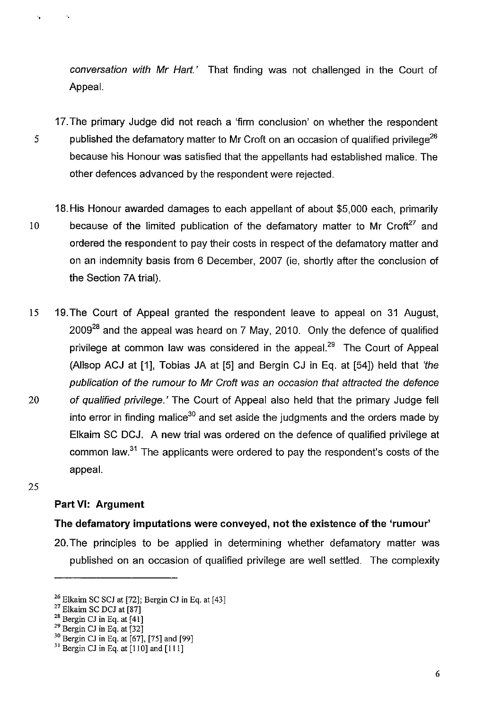conversation with Mr Hart.' That finding was not challenged in the Court of Appeal.

17. The primary Judge did not reach a 'firm conclusion' on whether the respondent 5 published the defamatory matter to Mr Croft on an occasion of qualified privilege<sup>26</sup> because his Honour was satisfied that the appellants had established malice. The other defences advanced by the respondent were rejected.

- 18. His Honour awarded damages to each appellant of about \$5,000 each, primarily 10 because of the limited publication of the defamatory matter to Mr Croft<sup>27</sup> and ordered the respondent to pay their costs in respect of the defamatory matter and on an indemnity basis from 6 December, 2007 (ie, shortly after the conclusion of the Section 7A trial).
- 15 19. The Court of Appeal granted the respondent leave to appeal on 31 August, 200928 and the appeal was heard on 7 May, 2010. Only the defence of qualified privilege at common law was considered in the appeal.<sup>29</sup> The Court of Appeal (Allsop ACJ at [1], Tobias JA at [5] and Bergin CJ in Eq. at [54]) held that 'the publication of the rumour to Mr Croft was an occasion that attracted the defence 20 of qualified privilege.' The Court of Appeal also held that the primary Judge fell into error in finding malice<sup>30</sup> and set aside the judgments and the orders made by Elkaim SC DCJ. A new trial was ordered on the defence of qualified privilege at common law. $31$  The applicants were ordered to pay the respondent's costs of the appeal.
- 25

"

 $\bar{r}_i$ 

# **Part VI: Argument**

# **The defamatory imputations were** conveyed, **not the existence of the 'rumour'**

20. The principles to be applied in determining whether defamatory matter was published on an occasion of qualified privilege are well settled. The complexity

 $^{26}$  Elkaim SC SCJ at [72]; Bergin CJ in Eq. at [43]

 $27$  Elkaim SC DCJ at [87]

 $28$  Bergin CJ in Eq. at [41]

 $29$  Bergin CJ in Eq. at [32]

 $30$  Bergin CJ in Eq. at [67], [75] and [99]

 $31$  Bergin CJ in Eq. at [110] and [111]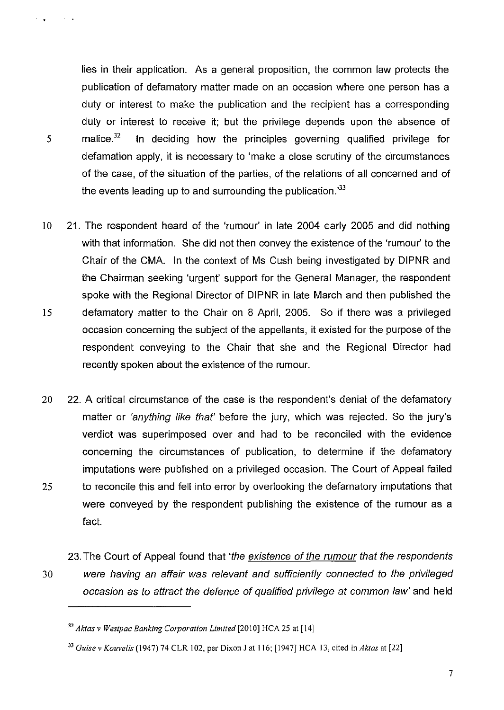lies in their application. As a general proposition, the common law protects the publication of defamatory matter made on an occasion where one person has a duty or interest to make the publication and the recipient has a corresponding duty or interest to receive it; but the privilege depends upon the absence of 5 malice.<sup>32</sup>**In** deciding how the principles governing qualified privilege for defamation apply, it is necessary to 'make a close scrutiny of the circumstances of the case, of the situation of the parties, of the relations of all concerned and of the events leading up to and surrounding the publication. $33$ 

- 10 21. The respondent heard of the 'rumour' in late 2004 early 2005 and did nothing with that information. She did not then convey the existence of the 'rumour' to the Chair of the CMA. **In** the context of Ms Cush being investigated by DIPNR and the Chairman seeking 'urgent' support for the General Manager, the respondent spoke with the Regional Director of DIPNR in late March and then published the 15 defamatory matter to the Chair on 8 April, 2005. So if there was a privileged occasion concerning the subject of the appellants, it existed for the purpose of the respondent conveying to the Chair that she and the Regional Director had
- 20 22. A critical circumstance of the case is the respondent's denial of the defamatory matter or 'anything like that' before the jury, which was rejected. So the jury's verdict was superimposed over and had to be reconciled with the evidence concerning the circumstances of publication, to determine if the defamatory imputations were published on a privileged occasion. The Court of Appeal failed 25 to reconcile this and fell into error by overlooking the defamatory imputations that were conveyed by the respondent publishing the existence of the rumour as a fact.
- 23. The Court of Appeal found that 'the existence of the rumour that the respondents 30 were having an affair was relevant and sufficiently connected to the privileged occasion as to attract the defence of qualified privilege at common law' and held

recently spoken about the existence of the rumour.

**College** 

 $\mathcal{F}=\mathcal{F}$ 

<sup>&</sup>lt;sup>32</sup> Aktas v Westpac Banking Corporation Limited [2010] HCA 25 at [14]

<sup>33</sup>*Guise v Kouvelis* (1947) 74 CLR 102, per Dixon J at 116; [1947] HCA 13, cited in *Aktas* at [22]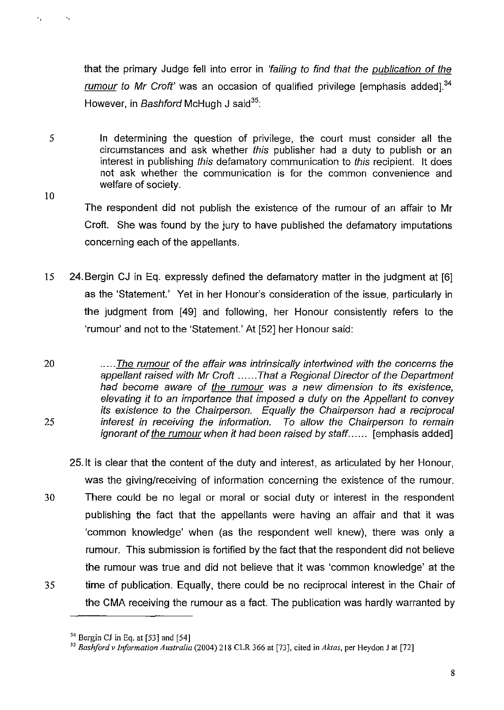that the primary Judge fell into error in 'failing to find that the publication of the rumour to Mr Croft' was an occasion of qualified privilege lemphasis added<sup>1,34</sup> However, in Bashford McHugh J said<sup>35</sup>:

5 In determining the question of privilege, the court must consider all the circumstances and ask whether this publisher had a duty to publish or an interest in publishing this defamatory communication to this recipient. It does not ask whether the communication is for the common convenience and welfare of society.

10

 $\mathbf{r}_1$ 

 $\mathcal{A}_\alpha$ 

The respondent did not publish the existence of the rumour of an affair to Mr Croft. She was found by the jury to have published the defamatory imputations concerning each of the appellants.

15 24. Bergin CJ in Eq. expressly defined the defamatory matter in the judgment at [6] as the 'Statement.' Yet in her Honour's consideration of the issue, particularly in the judgment from [49] and following, her Honour consistently refers to the 'rumour' and not to the 'Statement.' At [52] her Honour said:

20 ..... The rumour of the affair was intrinsically intertwined with the concerns the appellant raised with Mr Croft ...... That a Regional Director of the Department had become aware of the rumour was a new dimension to its existence, elevating it to an importance that imposed a duty on the Appellant to convey its existence to the Chairperson. Equally the Chairperson had a reciprocal 25 interest in receiving the information. To allow the Chairperson to remain ignorant of the rumour when it had been raised by staff...... [emphasis added]

- 25.lt is clear that the content of the duty and interest, as articulated by her Honour, was the giving/receiving of information concerning the existence of the rumour.
- 30 There could be no legal or moral or social duty or interest in the respondent publishing the fact that the appellants were having an affair and that it was 'common knowledge' when (as the respondent well knew), there was only a rumour. This submission is fortified by the fact that the respondent did not believe the rumour was true and did not believe that it was 'common knowledge' at the 35 time of publication. Equally, there could be no reciprocal interest in the Chair of
	- the CMA receiving the rumour as a fact. The publication was hardly warranted by

 $34$  Bergin CJ in Eq. at [53] and [54]

<sup>35</sup>*Bashfordv Information Australia* (2004) 218 CLR 366 at [73], cited in *Aktas,* per Heyden J at [72]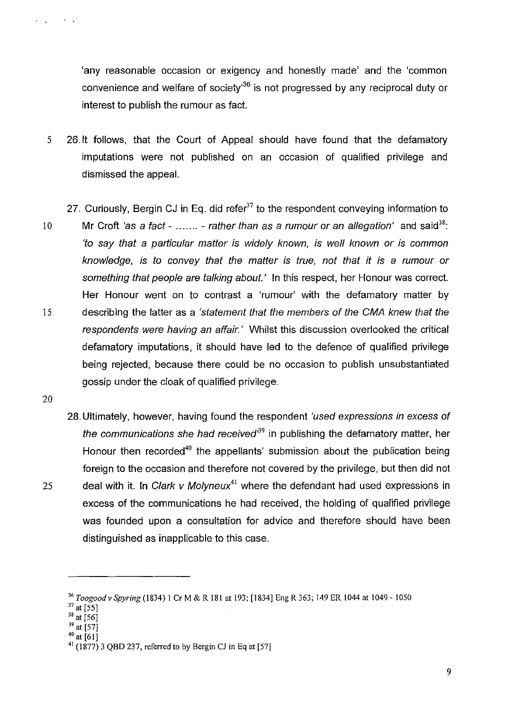'any reasonable occasion or exigency and honestly made' and the 'common convenience and welfare of society<sup>36</sup> is not progressed by any reciprocal duty or interest to publish the rumour as fact.

- 5 26.lt follows, that the Court of Appeal should have found that the defamatory imputations were not published on an occasion of qualified privilege and dismissed the appeal.
	- 27. Curiously, Bergin CJ in Eq. did refer<sup>37</sup> to the respondent conveying information to
- 10 Mr Croft 'as a fact ....... rather than as a rumour or an allegation' and said<sup>38</sup>: 'to say that a particular matter is widely known, is well known or is common knowledge, is to convey that the matter is true, not that it is a rumour or something that people are talking about.' In this respect, her Honour was correct. Her Honour went on to contrast a 'rumour' with the defamatory matter by 15 describing the latter as a 'statement that the members of the CMA knew that the respondents were having an affair.' Whilst this discussion overlooked the critical defamatory imputations, it should have led to the defence of qualified privilege being rejected, because there could be no occasion to publish unsubstantiated gossip under the cloak of qualified privilege.
- 20

 $\sim 10$ 

28. Ultimately, however, having found the respondent 'used expressions in excess of the communications she had received<sup>39</sup> in publishing the defamatory matter, her Honour then recorded<sup>40</sup> the appellants' submission about the publication being foreign to the occasion and therefore not covered by the privilege, but then did not 25 deal with it. In Clark v Molyneux<sup>41</sup> where the defendant had used expressions in excess of the communications he had received, the holding of qualified privilege was founded upon a consultation for advice and therefore should have been distinguished as inapplicable to this case.

- $39 \text{ at } 57$ ]
- 40 at [61)

<sup>36</sup>*Toogoodv Spyring* (1834) I CrM&R 181 at 193; [1834) EngR363; 149 ER 1044 at 1049-1050

<sup>37</sup>at [55)

 $38$  at [56]

 $41$  (1877) 3 QBD 237, referred to by Bergin CJ in Eq at [57]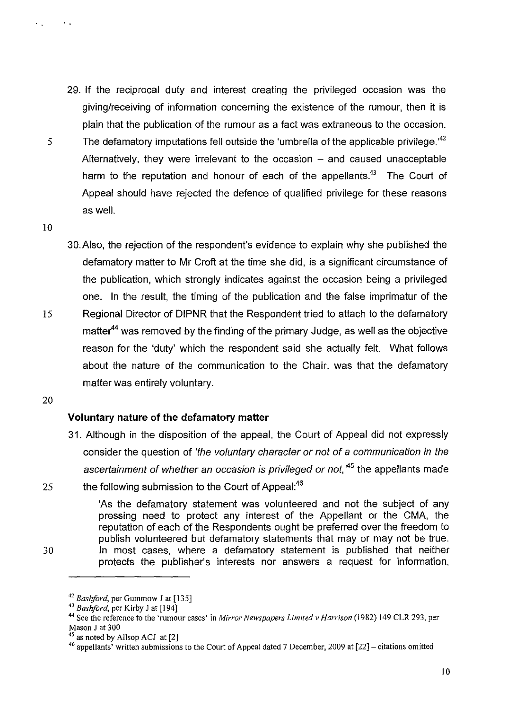- 29. If the reciprocal duty and interest creating the privileged occasion was the giving/receiving of information concerning the existence of the rumour, then it is plain that the publication of the rumour as a fact was extraneous to the occasion. 5 The defamatory imputations fell outside the 'umbrella of the applicable privilege.<sup> $42$ </sup> Alternatively, they were irrelevant to the occasion  $-$  and caused unacceptable harm to the reputation and honour of each of the appellants.<sup>43</sup> The Court of Appeal should have rejected the defence of qualified privilege for these reasons as well.
- 10

 $\bullet$  .  $\bullet$ 

3D. Also, the rejection of the respondent's evidence to explain why she published the defamatory matter to Mr Croft at the time she did, is a significant circumstance of the publication, which strongly indicates against the occasion being a privileged one. In the result, the timing of the publication and the false imprimatur of the 15 Regional Director of DIPNR that the Respondent tried to attach to the defamatory matter<sup>44</sup> was removed by the finding of the primary Judge, as well as the objective reason for the 'duty' which the respondent said she actually felt. What follows about the nature of the communication to the Chair, was that the defamatory matter was entirely voluntary.

20

#### **Voluntary nature of the defamatory matter**

- 31. Although in the disposition of the appeal, the Court of Appeal did not expressly consider the question of 'the voluntary character or not of a communication in the ascertainment of whether an occasion is privileged or not,<sup>45</sup> the appellants made
- 25 the following submission to the Court of Appeal:<sup>46</sup>

'As the defamatory statement was volunteered and not the subject of any pressing need to protect any interest of the Appellant or the CMA, the reputation of each of the Respondents ought be preferred over the freedom to publish volunteered but defamatory statements that mayor may not be true. 30 In most cases, where a defamatory statement is published that neither protects the publisher's interests nor answers a request for information,

<sup>&</sup>lt;sup>42</sup> Bashford, per Gummow J at [135]

<sup>&</sup>lt;sup>43</sup> Bashford, per Kirby J at [194]

<sup>44</sup> See the reference to the 'rumour cases' in *Mirror Newspapers Limited v Harrison* (1982) 149 CLR 293, per Mason J at 300

 $45$  as noted by Allsop ACJ at [2]

<sup>46</sup> appellants' written submissions to the Court of Appeal dated 7 December, 2009 at [22]- citations omitted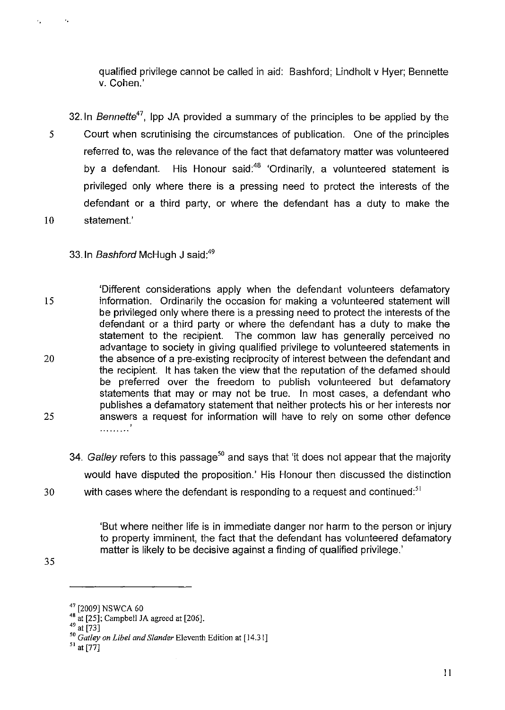qualified privilege cannot be called in aid: Bashford; Lindholt v Hyer; Bennette v. Cohen.'

32.ln Bennette*<sup>47</sup> ,* Ipp JA provided a summary of the principles to be applied by the 5 Court when scrutinising the circumstances of publication. One of the principles referred to, was the relevance of the fact that defamatory matter was volunteered by a defendant. His Honour said:<sup>48</sup> 'Ordinarily, a volunteered statement is privileged only where there is a pressing need to protect the interests of the defendant or a third party, or where the defendant has a duty to make the 10 statement.'

33. In Bashford McHugh J said:<sup>49</sup>

'.

 $\epsilon_{\rm{B}}$ 

'Different considerations apply when the defendant volunteers defamatory 15 information. Ordinarily the occasion for making a volunteered statement will be privileged only where there is a pressing need to protect the interests of the defendant or a third party or where the defendant has a duty to make the statement to the recipient. The common law has generally perceived no advantage to society in giving qualified privilege to volunteered statements in 20 the absence of a pre-existing reciprocity of interest between the defendant and the recipient. It has taken the view that the reputation of the defamed should be preferred over the freedom to publish volunteered but defamatory statements that may or may not be true. In most cases, a defendant who publishes a defamatory statement that neither protects his or her interests nor 25 answers a request for information will have to rely on some other defence . . . . . . . . . . .

34. Gatley refers to this passage<sup>50</sup> and says that 'it does not appear that the majority would have disputed the proposition.' His Honour then discussed the distinction  $30$  with cases where the defendant is responding to a request and continued:<sup>51</sup>

> 'But where neither life is in immediate danger nor harm to the person or injury to property imminent, the fact that the defendant has volunteered defamatory matter is likely to be decisive against a finding of qualified privilege.'

<sup>47 [2009]</sup> NSWCA 60

<sup>48</sup> at [25]; Campbell *lA* agreed at [206].

 $49$  at [73]

*<sup>50</sup> Galley on Libel and Slander* Eleventh Edition at [14.31]

 $^{51}$  at [77]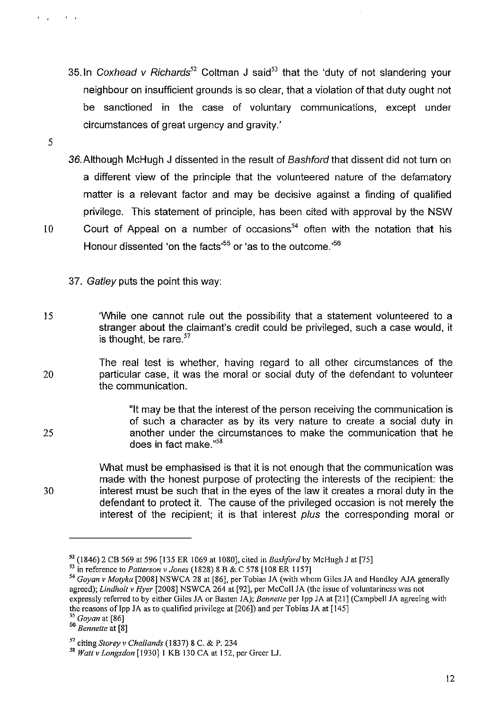- 35. In Coxhead v Richards<sup>52</sup> Coltman J said<sup>53</sup> that the 'duty of not slandering your neighbour on insufficient grounds is so clear, that a violation of that duty ought not be sanctioned in the case of voluntary communications, except under circumstances of great urgency and gravity.'
- 36. Although McHugh J dissented in the result of Bashford that dissent did not turn on a different view of the principle that the volunteered nature of the defamatory matter is a relevant factor and may be decisive against a finding of qualified privilege. This statement of principle, has been cited with approval by the NSW 10 Court of Appeal on a number of occasions<sup>54</sup> often with the notation that his Honour dissented 'on the facts<sup>55</sup> or 'as to the outcome.'<sup>56</sup>
	- 37. Gatley puts the point this way:
- 15 'While one cannot rule out the possibility that a statement volunteered to a stranger about the claimant's credit could be privileged, such a case would, it is thought, be rare. $57$
- The real test is whether, having regard to all other circumstances of the 20 particular case, it was the moral or social duty of the defendant to volunteer the communication.

5

 $\sim$   $\sim$   $\sim$ 

 $\sim$  1.

"It may be that the interest of the person receiving the communication is of such a character as by its very nature to create a social duty in 25 another under the circumstances to make the communication that he does in fact make."58

What must be emphasised is that it is not enough that the communication was made with the honest purpose of protecting the interests of the recipient: the 30 interest must be such that in the eyes of the law it creates a moral duty in the defendant to protect it. The cause of the privileged occasion is not merely the interest of the recipient; it is that interest plus the corresponding moral or

*55 Gayan* at [86]

<sup>&</sup>lt;sup>52</sup> (1846) 2 CB 569 at 596 [135 ER 1069 at 1080], cited in *Bashford* by McHugh J at [75]

<sup>53</sup> in reference to *Pattersan* v *Janes* (1828) 8 B & C 578 [108 ER 1157]

<sup>54</sup>*Goyan* v *Matyka* [2008] NSWCA 28 at [86], per Tobias JA (with whom Giles JA and Handley AJA generally agreed); *Lindholtv Hyer* [2008] NSWCA 264 at [92], per McColl JA (the issue of voluntariness was not expressly referred to by either Giles JA or Basten JA); *Bennette* per Ipp JA at [21] (Campbell JA agreeing with the reasons of Ipp JA as to qualified privilege at [206]) and per Tobias JA at [145]

*<sup>56</sup> Bennette* at [8]

<sup>57</sup> citing *Storey* v *Challands* (1837) 8 C. & P. 234

<sup>&</sup>lt;sup>58</sup> Watt v Longsdon [1930] 1 KB 130 CA at 152, per Greer LJ.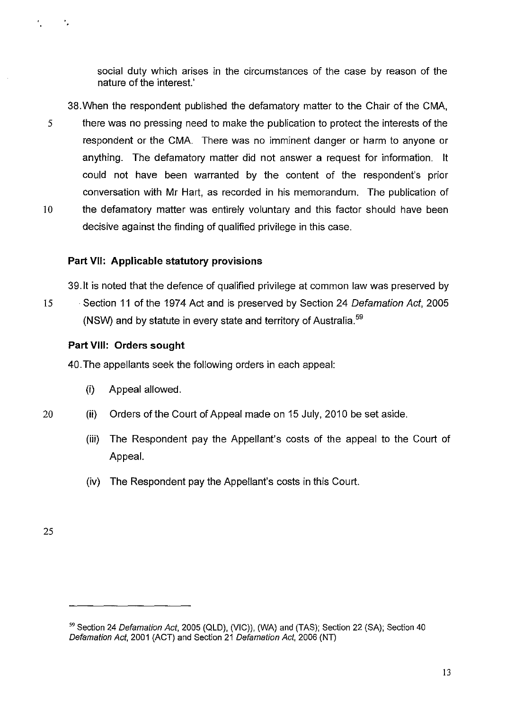social duty which arises in the circumstances of the case by reason of the nature of the interest.'

- 38.When the respondent published the defamatory matter to the Chair of the CMA, 5 there was no pressing need to make the publication to protect the interests of the respondent or the CMA. There was no imminent danger or harm to anyone or anything. The defamatory matter did not answer a request for information. It could not have been warranted by the content of the respondent's prior conversation with Mr Hart, as recorded in his memorandum. The publication of 10 the defamatory matter was entirely voluntary and this factor should have been
	- **Part VII: Applicable statutory provisions**

39.lt is noted that the defence of qualified privilege at common law was preserved by

15 Section 11 of the 1974 Act and is preserved by Section 24 Defamation Act, 2005 (NSW) and by statute in every state and territory of Australia.<sup>59</sup>

### **Part VIII: Orders sought**

40.The appellants seek the following orders in each appeal:

decisive against the finding of qualified privilege in this case.

- (i) Appeal allowed.
- 20 (ii) Orders of the Court of Appeal made on 15 July, 2010 be set aside.
	- (iii) The Respondent pay the Appellant's costs of the appeal to the Court of Appeal.
	- (iv) The Respondent pay the Appellant's costs in this Court.

<sup>&</sup>lt;sup>59</sup> Section 24 Defamation Act, 2005 (QLD), (VIC)), (WA) and (TAS); Section 22 (SA); Section 40 Defamation Act, 2001 (ACT) and Section 21 Defamation Act, 2006 (NT)